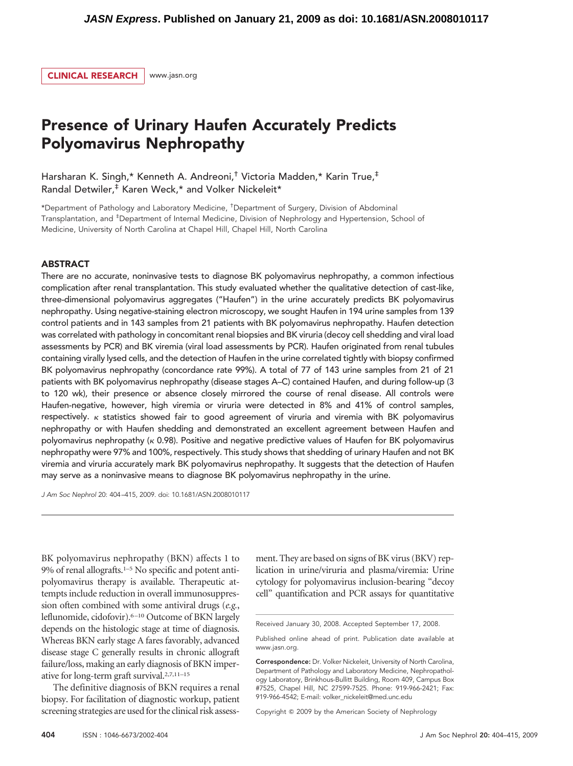

# Presence of Urinary Haufen Accurately Predicts Polyomavirus Nephropathy

Harsharan K. Singh,\* Kenneth A. Andreoni,† Victoria Madden,\* Karin True,‡ Randal Detwiler,‡ Karen Weck,\* and Volker Nickeleit\*

\*Department of Pathology and Laboratory Medicine, † Department of Surgery, Division of Abdominal Transplantation, and ‡ Department of Internal Medicine, Division of Nephrology and Hypertension, School of Medicine, University of North Carolina at Chapel Hill, Chapel Hill, North Carolina

### ABSTRACT

There are no accurate, noninvasive tests to diagnose BK polyomavirus nephropathy, a common infectious complication after renal transplantation. This study evaluated whether the qualitative detection of cast-like, three-dimensional polyomavirus aggregates ("Haufen") in the urine accurately predicts BK polyomavirus nephropathy. Using negative-staining electron microscopy, we sought Haufen in 194 urine samples from 139 control patients and in 143 samples from 21 patients with BK polyomavirus nephropathy. Haufen detection was correlated with pathology in concomitant renal biopsies and BK viruria (decoy cell shedding and viral load assessments by PCR) and BK viremia (viral load assessments by PCR). Haufen originated from renal tubules containing virally lysed cells, and the detection of Haufen in the urine correlated tightly with biopsy confirmed BK polyomavirus nephropathy (concordance rate 99%). A total of 77 of 143 urine samples from 21 of 21 patients with BK polyomavirus nephropathy (disease stages A–C) contained Haufen, and during follow-up (3 to 120 wk), their presence or absence closely mirrored the course of renal disease. All controls were Haufen-negative, however, high viremia or viruria were detected in 8% and 41% of control samples, respectively.  $\kappa$  statistics showed fair to good agreement of viruria and viremia with BK polyomavirus nephropathy or with Haufen shedding and demonstrated an excellent agreement between Haufen and polyomavirus nephropathy ( $\kappa$  0.98). Positive and negative predictive values of Haufen for BK polyomavirus nephropathy were 97% and 100%, respectively. This study shows that shedding of urinary Haufen and not BK viremia and viruria accurately mark BK polyomavirus nephropathy. It suggests that the detection of Haufen may serve as a noninvasive means to diagnose BK polyomavirus nephropathy in the urine.

*J Am Soc Nephrol* 20: 404 –415, 2009. doi: 10.1681/ASN.2008010117

BK polyomavirus nephropathy (BKN) affects 1 to 9% of renal allografts.<sup>1–5</sup> No specific and potent antipolyomavirus therapy is available. Therapeutic attempts include reduction in overall immunosuppression often combined with some antiviral drugs (*e.g.*, leflunomide, cidofovir).6 –10 Outcome of BKN largely depends on the histologic stage at time of diagnosis. Whereas BKN early stage A fares favorably, advanced disease stage C generally results in chronic allograft failure/loss, making an early diagnosis of BKN imperative for long-term graft survival.2,7,11–15

The definitive diagnosis of BKN requires a renal biopsy. For facilitation of diagnostic workup, patient screening strategies are used for the clinical risk assessment. They are based on signs of BK virus (BKV) replication in urine/viruria and plasma/viremia: Urine cytology for polyomavirus inclusion-bearing "decoy cell" quantification and PCR assays for quantitative

Copyright 2009 by the American Society of Nephrology

Received January 30, 2008. Accepted September 17, 2008.

Published online ahead of print. Publication date available at www.jasn.org.

Correspondence: Dr. Volker Nickeleit, University of North Carolina, Department of Pathology and Laboratory Medicine, Nephropathology Laboratory, Brinkhous-Bullitt Building, Room 409, Campus Box #7525, Chapel Hill, NC 27599-7525. Phone: 919-966-2421; Fax: 919-966-4542; E-mail: volker\_nickeleit@med.unc.edu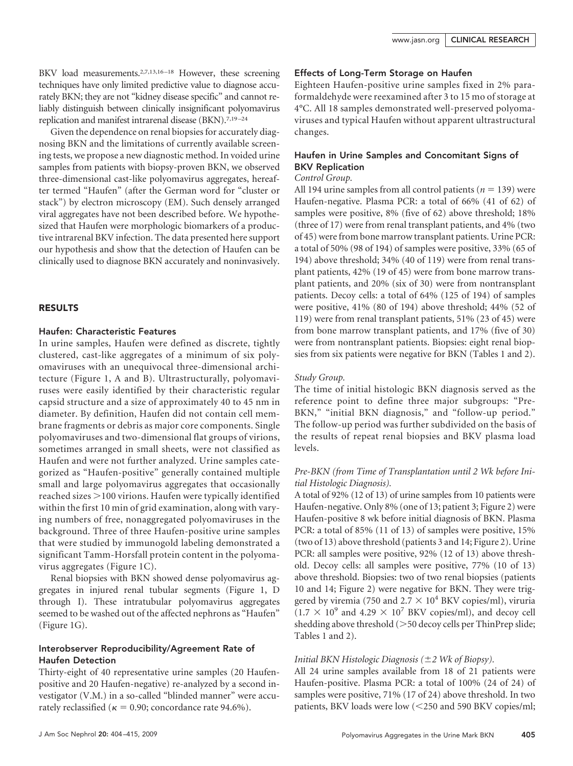BKV load measurements.<sup>2,7,13,16-18</sup> However, these screening techniques have only limited predictive value to diagnose accurately BKN; they are not "kidney disease specific" and cannot reliably distinguish between clinically insignificant polyomavirus replication and manifest intrarenal disease (BKN).<sup>7,19-24</sup>

Given the dependence on renal biopsies for accurately diagnosing BKN and the limitations of currently available screening tests, we propose a new diagnostic method. In voided urine samples from patients with biopsy-proven BKN, we observed three-dimensional cast-like polyomavirus aggregates, hereafter termed "Haufen" (after the German word for "cluster or stack") by electron microscopy (EM). Such densely arranged viral aggregates have not been described before. We hypothesized that Haufen were morphologic biomarkers of a productive intrarenal BKV infection. The data presented here support our hypothesis and show that the detection of Haufen can be clinically used to diagnose BKN accurately and noninvasively.

## RESULTS

#### Haufen: Characteristic Features

In urine samples, Haufen were defined as discrete, tightly clustered, cast-like aggregates of a minimum of six polyomaviruses with an unequivocal three-dimensional architecture (Figure 1, A and B). Ultrastructurally, polyomaviruses were easily identified by their characteristic regular capsid structure and a size of approximately 40 to 45 nm in diameter. By definition, Haufen did not contain cell membrane fragments or debris as major core components. Single polyomaviruses and two-dimensional flat groups of virions, sometimes arranged in small sheets, were not classified as Haufen and were not further analyzed. Urine samples categorized as "Haufen-positive" generally contained multiple small and large polyomavirus aggregates that occasionally reached sizes 100 virions. Haufen were typically identified within the first 10 min of grid examination, along with varying numbers of free, nonaggregated polyomaviruses in the background. Three of three Haufen-positive urine samples that were studied by immunogold labeling demonstrated a significant Tamm-Horsfall protein content in the polyomavirus aggregates (Figure 1C).

Renal biopsies with BKN showed dense polyomavirus aggregates in injured renal tubular segments (Figure 1, D through I). These intratubular polyomavirus aggregates seemed to be washed out of the affected nephrons as "Haufen" (Figure 1G).

## Interobserver Reproducibility/Agreement Rate of Haufen Detection

Thirty-eight of 40 representative urine samples (20 Haufenpositive and 20 Haufen-negative) re-analyzed by a second investigator (V.M.) in a so-called "blinded manner" were accurately reclassified ( $\kappa = 0.90$ ; concordance rate 94.6%).

## Effects of Long-Term Storage on Haufen

Eighteen Haufen-positive urine samples fixed in 2% paraformaldehyde were reexamined after 3 to 15 mo of storage at 4°C. All 18 samples demonstrated well-preserved polyomaviruses and typical Haufen without apparent ultrastructural changes.

# Haufen in Urine Samples and Concomitant Signs of BKV Replication

#### *Control Group.*

All 194 urine samples from all control patients ( $n = 139$ ) were Haufen-negative. Plasma PCR: a total of 66% (41 of 62) of samples were positive, 8% (five of 62) above threshold; 18% (three of 17) were from renal transplant patients, and 4% (two of 45) were from bone marrow transplant patients. Urine PCR: a total of 50% (98 of 194) of samples were positive, 33% (65 of 194) above threshold; 34% (40 of 119) were from renal transplant patients, 42% (19 of 45) were from bone marrow transplant patients, and 20% (six of 30) were from nontransplant patients. Decoy cells: a total of 64% (125 of 194) of samples were positive, 41% (80 of 194) above threshold; 44% (52 of 119) were from renal transplant patients, 51% (23 of 45) were from bone marrow transplant patients, and 17% (five of 30) were from nontransplant patients. Biopsies: eight renal biopsies from six patients were negative for BKN (Tables 1 and 2).

## *Study Group.*

The time of initial histologic BKN diagnosis served as the reference point to define three major subgroups: "Pre-BKN," "initial BKN diagnosis," and "follow-up period." The follow-up period was further subdivided on the basis of the results of repeat renal biopsies and BKV plasma load levels.

# *Pre-BKN (from Time of Transplantation until 2 Wk before Initial Histologic Diagnosis).*

A total of 92% (12 of 13) of urine samples from 10 patients were Haufen-negative. Only 8% (one of 13; patient 3; Figure 2) were Haufen-positive 8 wk before initial diagnosis of BKN. Plasma PCR: a total of 85% (11 of 13) of samples were positive, 15% (two of 13) above threshold (patients 3 and 14; Figure 2). Urine PCR: all samples were positive, 92% (12 of 13) above threshold. Decoy cells: all samples were positive, 77% (10 of 13) above threshold. Biopsies: two of two renal biopsies (patients 10 and 14; Figure 2) were negative for BKN. They were triggered by viremia (750 and 2.7  $\times$  10<sup>4</sup> BKV copies/ml), viruria  $(1.7 \times 10^9 \text{ and } 4.29 \times 10^7 \text{ BKV copies/ml})$ , and decoy cell shedding above threshold (>50 decoy cells per ThinPrep slide; Tables 1 and 2).

## *Initial BKN Histologic Diagnosis (2 Wk of Biopsy).*

All 24 urine samples available from 18 of 21 patients were Haufen-positive. Plasma PCR: a total of 100% (24 of 24) of samples were positive, 71% (17 of 24) above threshold. In two patients, BKV loads were low (250 and 590 BKV copies/ml;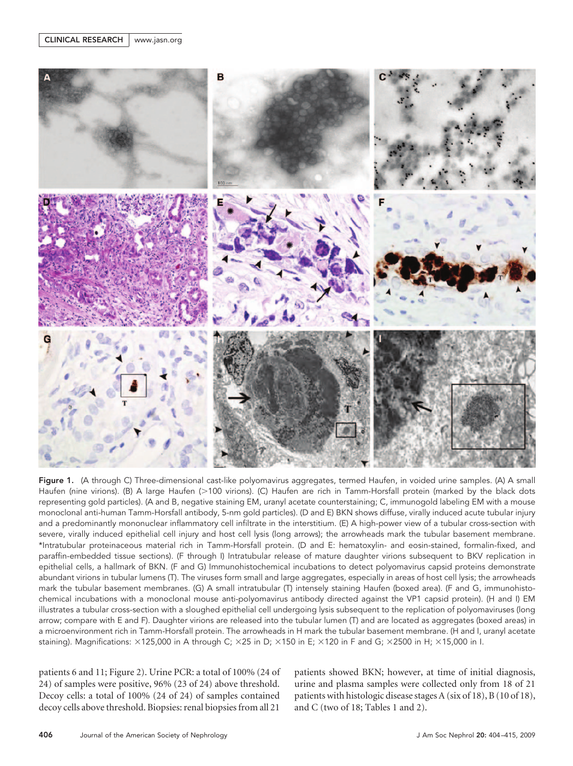

Figure 1. (A through C) Three-dimensional cast-like polyomavirus aggregates, termed Haufen, in voided urine samples. (A) A small Haufen (nine virions). (B) A large Haufen (>100 virions). (C) Haufen are rich in Tamm-Horsfall protein (marked by the black dots representing gold particles). (A and B, negative staining EM, uranyl acetate counterstaining; C, immunogold labeling EM with a mouse monoclonal anti-human Tamm-Horsfall antibody, 5-nm gold particles). (D and E) BKN shows diffuse, virally induced acute tubular injury and a predominantly mononuclear inflammatory cell infiltrate in the interstitium. (E) A high-power view of a tubular cross-section with severe, virally induced epithelial cell injury and host cell lysis (long arrows); the arrowheads mark the tubular basement membrane. \*Intratubular proteinaceous material rich in Tamm-Horsfall protein. (D and E: hematoxylin- and eosin-stained, formalin-fixed, and paraffin-embedded tissue sections). (F through I) Intratubular release of mature daughter virions subsequent to BKV replication in epithelial cells, a hallmark of BKN. (F and G) Immunohistochemical incubations to detect polyomavirus capsid proteins demonstrate abundant virions in tubular lumens (T). The viruses form small and large aggregates, especially in areas of host cell lysis; the arrowheads mark the tubular basement membranes. (G) A small intratubular (T) intensely staining Haufen (boxed area). (F and G, immunohistochemical incubations with a monoclonal mouse anti-polyomavirus antibody directed against the VP1 capsid protein). (H and I) EM illustrates a tubular cross-section with a sloughed epithelial cell undergoing lysis subsequent to the replication of polyomaviruses (long arrow; compare with E and F). Daughter virions are released into the tubular lumen (T) and are located as aggregates (boxed areas) in a microenvironment rich in Tamm-Horsfall protein. The arrowheads in H mark the tubular basement membrane. (H and I, uranyl acetate staining). Magnifications:  $\times$ 125,000 in A through C;  $\times$ 25 in D;  $\times$ 150 in E;  $\times$ 120 in F and G;  $\times$ 2500 in H;  $\times$ 15,000 in I.

patients 6 and 11; Figure 2). Urine PCR: a total of 100% (24 of 24) of samples were positive, 96% (23 of 24) above threshold. Decoy cells: a total of 100% (24 of 24) of samples contained decoy cells above threshold. Biopsies: renal biopsies from all 21

patients showed BKN; however, at time of initial diagnosis, urine and plasma samples were collected only from 18 of 21 patients with histologic disease stages A (six of 18), B (10 of 18), and C (two of 18; Tables 1 and 2).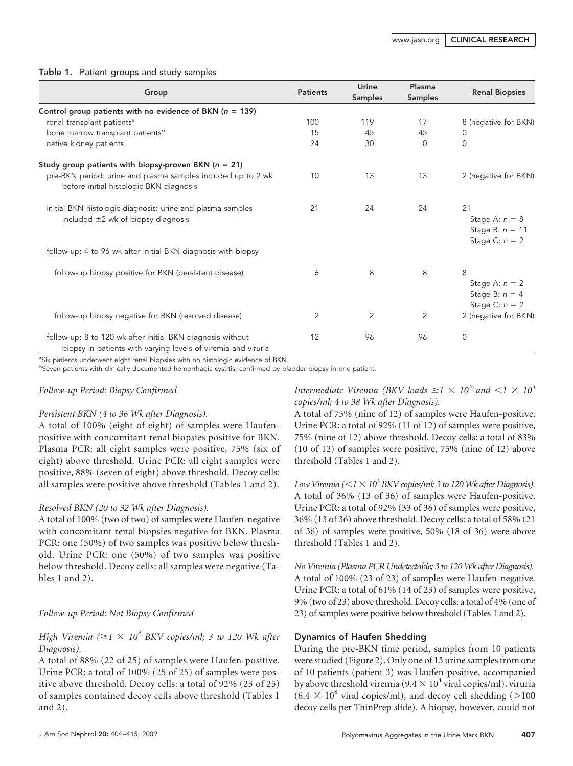## Table 1. Patient groups and study samples

| Group                                                                                                                       | <b>Patients</b> | Urine          | Plasma         | <b>Renal Biopsies</b>                                           |
|-----------------------------------------------------------------------------------------------------------------------------|-----------------|----------------|----------------|-----------------------------------------------------------------|
|                                                                                                                             |                 | <b>Samples</b> | <b>Samples</b> |                                                                 |
| Control group patients with no evidence of BKN ( $n = 139$ )                                                                |                 |                |                |                                                                 |
| renal transplant patients <sup>a</sup>                                                                                      | 100             | 119            | 17             | 8 (negative for BKN)                                            |
| bone marrow transplant patients <sup>b</sup>                                                                                | 15              | 45             | 45             | 0                                                               |
| native kidney patients                                                                                                      | 24              | 30             | $\Omega$       | 0                                                               |
| Study group patients with biopsy-proven BKN ( $n = 21$ )                                                                    |                 |                |                |                                                                 |
| pre-BKN period: urine and plasma samples included up to 2 wk<br>before initial histologic BKN diagnosis                     | 10              | 13             | 13             | 2 (negative for BKN)                                            |
| initial BKN histologic diagnosis: urine and plasma samples<br>included $\pm 2$ wk of biopsy diagnosis                       | 21              | 24             | 24             | 21<br>Stage A: $n = 8$<br>Stage B: $n = 11$<br>Stage C: $n = 2$ |
| follow-up: 4 to 96 wk after initial BKN diagnosis with biopsy                                                               |                 |                |                |                                                                 |
| follow-up biopsy positive for BKN (persistent disease)                                                                      | 6               | 8              | 8              | 8<br>Stage A: $n = 2$<br>Stage B: $n = 4$<br>Stage C: $n = 2$   |
| follow-up biopsy negative for BKN (resolved disease)                                                                        | 2               | 2              | 2              | 2 (negative for BKN)                                            |
| follow-up: 8 to 120 wk after initial BKN diagnosis without<br>biopsy in patients with varying levels of viremia and viruria | 12              | 96             | 96             | $\mathbf 0$                                                     |

<sup>a</sup>Six patients underwent eight renal biopsies with no histologic evidence of BKN.

b Seven patients with clinically documented hemorrhagic cystitis; confirmed by bladder biopsy in one patient.

## *Follow-up Period: Biopsy Confirmed*

## *Persistent BKN (4 to 36 Wk after Diagnosis).*

A total of 100% (eight of eight) of samples were Haufenpositive with concomitant renal biopsies positive for BKN. Plasma PCR: all eight samples were positive, 75% (six of eight) above threshold. Urine PCR: all eight samples were positive, 88% (seven of eight) above threshold. Decoy cells: all samples were positive above threshold (Tables 1 and 2).

# *Resolved BKN (20 to 32 Wk after Diagnosis).*

A total of 100% (two of two) of samples were Haufen-negative with concomitant renal biopsies negative for BKN. Plasma PCR: one (50%) of two samples was positive below threshold. Urine PCR: one (50%) of two samples was positive below threshold. Decoy cells: all samples were negative (Tables 1 and 2).

# *Follow-up Period: Not Biopsy Confirmed*

*High Viremia* ( $\geq$ 1  $\times$  10<sup>4</sup> *BKV copies/ml; 3 to 120 Wk after Diagnosis).*

A total of 88% (22 of 25) of samples were Haufen-positive. Urine PCR: a total of 100% (25 of 25) of samples were positive above threshold. Decoy cells: a total of 92% (23 of 25) of samples contained decoy cells above threshold (Tables 1 and 2).

*Intermediate Viremia (BKV loads*  $\geq$  1  $\times$  10<sup>3</sup> *and*  $\lt$ 1  $\times$  10<sup>4</sup> *copies/ml; 4 to 38 Wk after Diagnosis).*

A total of 75% (nine of 12) of samples were Haufen-positive. Urine PCR: a total of 92% (11 of 12) of samples were positive, 75% (nine of 12) above threshold. Decoy cells: a total of 83% (10 of 12) of samples were positive, 75% (nine of 12) above threshold (Tables 1 and 2).

*Low Viremia* ( $\leq$ 1 $\times$  10<sup>3</sup> *BKV copies/ml;* 3 to 120 *Wk after Diagnosis*). A total of 36% (13 of 36) of samples were Haufen-positive. Urine PCR: a total of 92% (33 of 36) of samples were positive, 36% (13 of 36) above threshold. Decoy cells: a total of 58% (21 of 36) of samples were positive, 50% (18 of 36) were above threshold (Tables 1 and 2).

*No Viremia (Plasma PCR Undetectable; 3 to 120Wk after Diagnosis).* A total of 100% (23 of 23) of samples were Haufen-negative. Urine PCR: a total of 61% (14 of 23) of samples were positive, 9% (two of 23) above threshold. Decoy cells: a total of 4% (one of 23) of samples were positive below threshold (Tables 1 and 2).

## Dynamics of Haufen Shedding

During the pre-BKN time period, samples from 10 patients were studied (Figure 2). Only one of 13 urine samples from one of 10 patients (patient 3) was Haufen-positive, accompanied by above threshold viremia ( $9.4 \times 10^4$  viral copies/ml), viruria  $(6.4 \times 10^8 \text{ viral copies/ml})$ , and decoy cell shedding (>100 decoy cells per ThinPrep slide). A biopsy, however, could not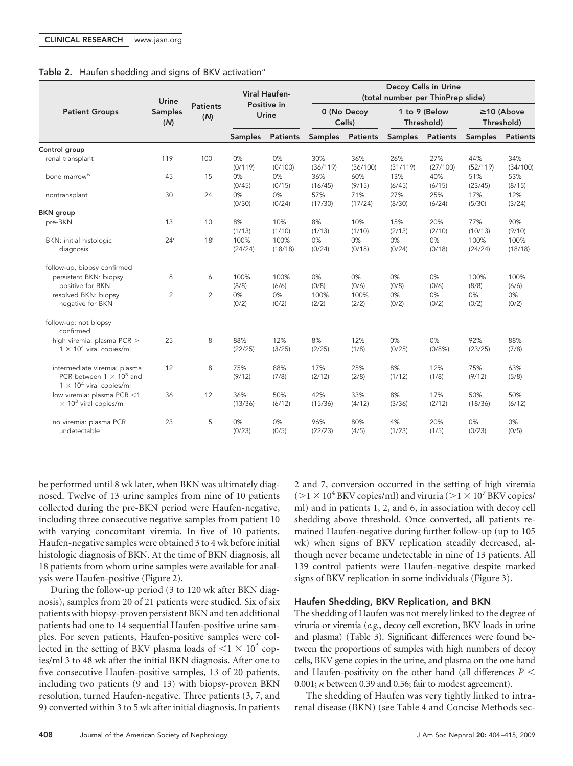## Table 2. Haufen shedding and signs of BKV activation<sup>a</sup>

|                                                                                                    | Urine                 | <b>Patients</b><br>(N) | <b>Viral Haufen-</b><br>Positive in<br>Urine |                 | Decoy Cells in Urine<br>(total number per ThinPrep slide) |                 |                             |                 |                                |                 |
|----------------------------------------------------------------------------------------------------|-----------------------|------------------------|----------------------------------------------|-----------------|-----------------------------------------------------------|-----------------|-----------------------------|-----------------|--------------------------------|-----------------|
| <b>Patient Groups</b>                                                                              | <b>Samples</b><br>(N) |                        |                                              |                 | 0 (No Decoy<br>Cells)                                     |                 | 1 to 9 (Below<br>Threshold) |                 | $\geq$ 10 (Above<br>Threshold) |                 |
|                                                                                                    |                       |                        | <b>Samples</b>                               | <b>Patients</b> | <b>Samples</b>                                            | <b>Patients</b> | <b>Samples</b>              | <b>Patients</b> | <b>Samples</b>                 | <b>Patients</b> |
| Control group                                                                                      |                       |                        |                                              |                 |                                                           |                 |                             |                 |                                |                 |
| renal transplant                                                                                   | 119                   | 100                    | 0%<br>(0/119)                                | 0%<br>(0/100)   | 30%<br>(36/119)                                           | 36%<br>(36/100) | 26%<br>(31/119)             | 27%<br>(27/100) | 44%<br>(52/119)                | 34%<br>(34/100) |
| bone marrow <sup>b</sup>                                                                           | 45                    | 15                     | 0%<br>(0/45)                                 | 0%<br>(0/15)    | 36%<br>(16/45)                                            | 60%<br>(9/15)   | 13%<br>(6/45)               | 40%<br>(6/15)   | 51%<br>(23/45)                 | 53%<br>(8/15)   |
| nontransplant                                                                                      | 30                    | 24                     | 0%<br>(0/30)                                 | 0%<br>(0/24)    | 57%<br>(17/30)                                            | 71%<br>(17/24)  | 27%<br>(8/30)               | 25%<br>(6/24)   | 17%<br>(5/30)                  | 12%<br>(3/24)   |
| <b>BKN</b> group                                                                                   |                       |                        |                                              |                 |                                                           |                 |                             |                 |                                |                 |
| pre-BKN                                                                                            | 13                    | 10                     | 8%<br>(1/13)                                 | 10%<br>(1/10)   | 8%<br>(1/13)                                              | 10%<br>(1/10)   | 15%<br>(2/13)               | 20%<br>(2/10)   | 77%<br>(10/13)                 | 90%<br>(9/10)   |
| BKN: initial histologic<br>diagnosis                                                               | 24 <sup>c</sup>       | 18 <sup>c</sup>        | 100%<br>(24/24)                              | 100%<br>(18/18) | 0%<br>(0/24)                                              | 0%<br>(0/18)    | 0%<br>(0/24)                | 0%<br>(0/18)    | 100%<br>(24/24)                | 100%<br>(18/18) |
| follow-up, biopsy confirmed                                                                        |                       |                        |                                              |                 |                                                           |                 |                             |                 |                                |                 |
| persistent BKN: biopsy<br>positive for BKN                                                         | 8                     | 6                      | 100%<br>(8/8)                                | 100%<br>(6/6)   | 0%<br>(0/8)                                               | 0%<br>(0/6)     | 0%<br>(0/8)                 | 0%<br>(0/6)     | 100%<br>(8/8)                  | 100%<br>(6/6)   |
| resolved BKN: biopsy<br>negative for BKN                                                           | 2                     | $\overline{2}$         | 0%<br>(0/2)                                  | 0%<br>(0/2)     | 100%<br>(2/2)                                             | 100%<br>(2/2)   | 0%<br>(0/2)                 | 0%<br>(0/2)     | 0%<br>(0/2)                    | 0%<br>(0/2)     |
| follow-up: not biopsy<br>confirmed                                                                 |                       |                        |                                              |                 |                                                           |                 |                             |                 |                                |                 |
| high viremia: plasma PCR ><br>$1 \times 10^4$ viral copies/ml                                      | 25                    | 8                      | 88%<br>(22/25)                               | 12%<br>(3/25)   | 8%<br>(2/25)                                              | 12%<br>(1/8)    | 0%<br>(0/25)                | 0%<br>(0/8%)    | 92%<br>(23/25)                 | 88%<br>(7/8)    |
| intermediate viremia: plasma<br>PCR between $1 \times 10^3$ and<br>$1 \times 10^4$ viral copies/ml | 12                    | 8                      | 75%<br>(9/12)                                | 88%<br>(7/8)    | 17%<br>(2/12)                                             | 25%<br>(2/8)    | 8%<br>(1/12)                | 12%<br>(1/8)    | 75%<br>(9/12)                  | 63%<br>(5/8)    |
| low viremia: plasma PCR <1<br>$\times$ 10 <sup>3</sup> viral copies/ml                             | 36                    | 12                     | 36%<br>(13/36)                               | 50%<br>(6/12)   | 42%<br>(15/36)                                            | 33%<br>(4/12)   | 8%<br>(3/36)                | 17%<br>(2/12)   | 50%<br>(18/36)                 | 50%<br>(6/12)   |
| no viremia: plasma PCR<br>undetectable                                                             | 23                    | 5                      | 0%<br>(0/23)                                 | 0%<br>(0/5)     | 96%<br>(22/23)                                            | 80%<br>(4/5)    | 4%<br>(1/23)                | 20%<br>(1/5)    | 0%<br>(0/23)                   | 0%<br>(0/5)     |

be performed until 8 wk later, when BKN was ultimately diagnosed. Twelve of 13 urine samples from nine of 10 patients collected during the pre-BKN period were Haufen-negative, including three consecutive negative samples from patient 10 with varying concomitant viremia. In five of 10 patients, Haufen-negative samples were obtained 3 to 4 wk before initial histologic diagnosis of BKN. At the time of BKN diagnosis, all 18 patients from whom urine samples were available for analysis were Haufen-positive (Figure 2).

During the follow-up period (3 to 120 wk after BKN diagnosis), samples from 20 of 21 patients were studied. Six of six patients with biopsy-proven persistent BKN and ten additional patients had one to 14 sequential Haufen-positive urine samples. For seven patients, Haufen-positive samples were collected in the setting of BKV plasma loads of  $\leq 1 \times 10^3$  copies/ml 3 to 48 wk after the initial BKN diagnosis. After one to five consecutive Haufen-positive samples, 13 of 20 patients, including two patients (9 and 13) with biopsy-proven BKN resolution, turned Haufen-negative. Three patients (3, 7, and 9) converted within 3 to 5 wk after initial diagnosis. In patients 2 and 7, conversion occurred in the setting of high viremia ( $>1 \times 10^4$  BKV copies/ml) and viruria ( $>1 \times 10^7$  BKV copies/ ml) and in patients 1, 2, and 6, in association with decoy cell shedding above threshold. Once converted, all patients remained Haufen-negative during further follow-up (up to 105 wk) when signs of BKV replication steadily decreased, although never became undetectable in nine of 13 patients. All 139 control patients were Haufen-negative despite marked signs of BKV replication in some individuals (Figure 3).

#### Haufen Shedding, BKV Replication, and BKN

The shedding of Haufen was not merely linked to the degree of viruria or viremia (*e.g.*, decoy cell excretion, BKV loads in urine and plasma) (Table 3). Significant differences were found between the proportions of samples with high numbers of decoy cells, BKV gene copies in the urine, and plasma on the one hand and Haufen-positivity on the other hand (all differences *P* 0.001;  $\kappa$  between 0.39 and 0.56; fair to modest agreement).

The shedding of Haufen was very tightly linked to intrarenal disease (BKN) (see Table 4 and Concise Methods sec-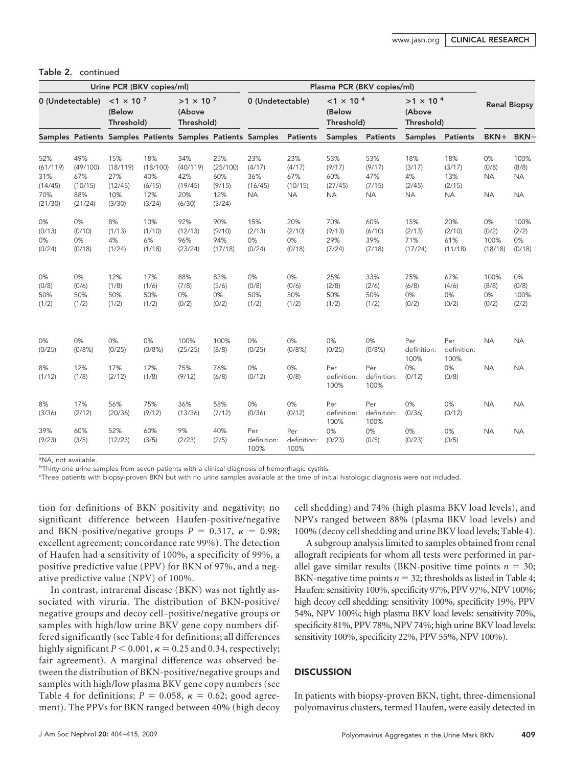| Urine PCR (BKV copies/ml)                           |                                                     |                                                                                                       |                                                   | Plasma PCR (BKV copies/ml)                         |                                                   |                                                                     |                                                        |                                              |                                             |                                            |                                             |                                       |                                         |
|-----------------------------------------------------|-----------------------------------------------------|-------------------------------------------------------------------------------------------------------|---------------------------------------------------|----------------------------------------------------|---------------------------------------------------|---------------------------------------------------------------------|--------------------------------------------------------|----------------------------------------------|---------------------------------------------|--------------------------------------------|---------------------------------------------|---------------------------------------|-----------------------------------------|
|                                                     | 0 (Undetectable)                                    | $<$ 1 $\times$ 10 <sup>7</sup><br>$>1 \times 10^{-7}$<br>(Below<br>(Above<br>Threshold)<br>Threshold) |                                                   | 0 (Undetectable)                                   |                                                   |                                                                     | $<$ 1 $\times$ 10 <sup>4</sup><br>(Below<br>Threshold) |                                              | $>1 \times 10^{-4}$<br>(Above<br>Threshold) |                                            | <b>Renal Biopsy</b>                         |                                       |                                         |
|                                                     |                                                     |                                                                                                       |                                                   |                                                    |                                                   | Samples Patients Samples Patients Samples Patients Samples Patients |                                                        | <b>Samples</b>                               | Patients                                    | <b>Samples</b>                             | Patients                                    | BKN+                                  | BKN-                                    |
| 52%<br>(61/119)<br>31%<br>(14/45)<br>70%<br>(21/30) | 49%<br>(49/100)<br>67%<br>(10/15)<br>88%<br>(21/24) | 15%<br>(18/119)<br>27%<br>(12/45)<br>10%<br>(3/30)                                                    | 18%<br>(18/100)<br>40%<br>(6/15)<br>12%<br>(3/24) | 34%<br>(40/119)<br>42%<br>(19/45)<br>20%<br>(6/30) | 25%<br>(25/100)<br>60%<br>(9/15)<br>12%<br>(3/24) | 23%<br>(4/17)<br>36%<br>(16/45)<br><b>NA</b>                        | 23%<br>(4/17)<br>67%<br>(10/15)<br><b>NA</b>           | 53%<br>(9/17)<br>60%<br>(27/45)<br><b>NA</b> | 53%<br>(9/17)<br>47%<br>(7/15)<br><b>NA</b> | 18%<br>(3/17)<br>4%<br>(2/45)<br><b>NA</b> | 18%<br>(3/17)<br>13%<br>(2/15)<br><b>NA</b> | 0%<br>(0/8)<br><b>NA</b><br><b>NA</b> | 100%<br>(8/8)<br><b>NA</b><br><b>NA</b> |
| 0%<br>(0/13)<br>0%<br>(0/24)                        | 0%<br>(0/10)<br>0%<br>(0/18)                        | 8%<br>(1/13)<br>4%<br>(1/24)                                                                          | 10%<br>(1/10)<br>6%<br>(1/18)                     | 92%<br>(12/13)<br>96%<br>(23/24)                   | 90%<br>(9/10)<br>94%<br>(17/18)                   | 15%<br>(2/13)<br>0%<br>(0/24)                                       | 20%<br>(2/10)<br>0%<br>(0/18)                          | 70%<br>(9/13)<br>29%<br>(7/24)               | 60%<br>(6/10)<br>39%<br>(7/18)              | 15%<br>(2/13)<br>71%<br>(17/24)            | 20%<br>(2/10)<br>61%<br>(11/18)             | 0%<br>(0/2)<br>100%<br>(18/18)        | 100%<br>(2/2)<br>0%<br>(0/18)           |
| 0%<br>(0/8)<br>50%<br>(1/2)                         | 0%<br>(0/6)<br>50%<br>(1/2)                         | 12%<br>(1/8)<br>50%<br>(1/2)                                                                          | 17%<br>(1/6)<br>50%<br>(1/2)                      | 88%<br>(7/8)<br>0%<br>(0/2)                        | 83%<br>(5/6)<br>0%<br>(0/2)                       | 0%<br>(0/8)<br>50%<br>(1/2)                                         | 0%<br>(0/6)<br>50%<br>(1/2)                            | 25%<br>(2/8)<br>50%<br>(1/2)                 | 33%<br>(2/6)<br>50%<br>(1/2)                | 75%<br>(6/8)<br>0%<br>(0/2)                | 67%<br>(4/6)<br>0%<br>(0/2)                 | 100%<br>(8/8)<br>0%<br>(0/2)          | 0%<br>(0/8)<br>100%<br>(2/2)            |
| 0%<br>(0/25)                                        | 0%<br>(0/8%)                                        | 0%<br>(0/25)                                                                                          | 0%<br>(0/8%)                                      | 100%<br>(25/25)                                    | 100%<br>(8/8)                                     | 0%<br>(0/25)                                                        | 0%<br>(0/8%)                                           | 0%<br>(0/25)                                 | 0%<br>(0/8%)                                | Per<br>definition:<br>100%                 | Per<br>definition:<br>100%                  | <b>NA</b>                             | <b>NA</b>                               |
| 8%<br>(1/12)                                        | 12%<br>(1/8)                                        | 17%<br>(2/12)                                                                                         | 12%<br>(1/8)                                      | 75%<br>(9/12)                                      | 76%<br>(6/8)                                      | 0%<br>(0/12)                                                        | 0%<br>(0/8)                                            | Per<br>definition:<br>100%                   | Per<br>definition:<br>100%                  | 0%<br>(0/12)                               | 0%<br>(0/8)                                 | <b>NA</b>                             | <b>NA</b>                               |
| 8%<br>(3/36)                                        | 17%<br>(2/12)                                       | 56%<br>(20/36)                                                                                        | 75%<br>(9/12)                                     | 36%<br>(13/36)                                     | 58%<br>(7/12)                                     | 0%<br>(0/36)                                                        | 0%<br>(0/12)                                           | Per<br>definition:<br>100%                   | Per<br>definition:<br>100%                  | 0%<br>(0/36)                               | 0%<br>(0/12)                                | <b>NA</b>                             | <b>NA</b>                               |
| 39%<br>(9/23)                                       | 60%<br>(3/5)                                        | 52%<br>(12/23)                                                                                        | 60%<br>(3/5)                                      | 9%<br>(2/23)                                       | 40%<br>(2/5)                                      | Per<br>definition:<br>100%                                          | Per<br>definition:<br>100%                             | 0%<br>(0/23)                                 | 0%<br>(0/5)                                 | 0%<br>(0/23)                               | 0%<br>(0/5)                                 | <b>NA</b>                             | <b>NA</b>                               |

#### Table 2. continued

a NA, not available.

<sup>b</sup>Thirty-one urine samples from seven patients with a clinical diagnosis of hemorrhagic cystitis.

c Three patients with biopsy-proven BKN but with no urine samples available at the time of initial histologic diagnosis were not included.

tion for definitions of BKN positivity and negativity; no significant difference between Haufen-positive/negative and BKN-positive/negative groups  $P = 0.317$ ,  $\kappa = 0.98$ ; excellent agreement; concordance rate 99%). The detection of Haufen had a sensitivity of 100%, a specificity of 99%, a positive predictive value (PPV) for BKN of 97%, and a negative predictive value (NPV) of 100%.

In contrast, intrarenal disease (BKN) was not tightly associated with viruria. The distribution of BKN-positive/ negative groups and decoy cell–positive/negative groups or samples with high/low urine BKV gene copy numbers differed significantly (see Table 4 for definitions; all differences highly significant  $P < 0.001$ ,  $\kappa = 0.25$  and 0.34, respectively; fair agreement). A marginal difference was observed between the distribution of BKN-positive/negative groups and samples with high/low plasma BKV gene copy numbers (see Table 4 for definitions;  $P = 0.058$ ,  $\kappa = 0.62$ ; good agreement). The PPVs for BKN ranged between 40% (high decoy cell shedding) and 74% (high plasma BKV load levels), and NPVs ranged between 88% (plasma BKV load levels) and 100% (decoy cell shedding and urine BKV load levels; Table 4).

A subgroup analysis limited to samples obtained from renal allograft recipients for whom all tests were performed in parallel gave similar results (BKN-positive time points  $n = 30$ ; BKN-negative time points  $n = 32$ ; thresholds as listed in Table 4; Haufen: sensitivity 100%, specificity 97%, PPV 97%, NPV 100%; high decoy cell shedding: sensitivity 100%, specificity 19%, PPV 54%, NPV 100%; high plasma BKV load levels: sensitivity 70%, specificity 81%, PPV 78%, NPV 74%; high urine BKV load levels: sensitivity 100%, specificity 22%, PPV 55%, NPV 100%).

# **DISCUSSION**

In patients with biopsy-proven BKN, tight, three-dimensional polyomavirus clusters, termed Haufen, were easily detected in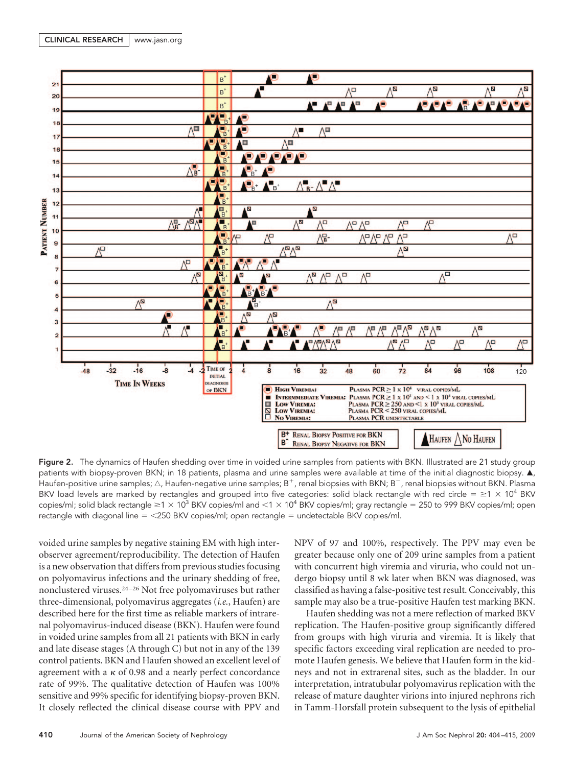

Figure 2. The dynamics of Haufen shedding over time in voided urine samples from patients with BKN. Illustrated are 21 study group patients with biopsy-proven BKN; in 18 patients, plasma and urine samples were available at time of the initial diagnostic biopsy.  $\blacktriangle$ , Haufen-positive urine samples;  $\triangle$ , Haufen-negative urine samples; B<sup>+</sup>, renal biopsies with BKN; B<sup>-</sup>, renal biopsies without BKN. Plasma BKV load levels are marked by rectangles and grouped into five categories: solid black rectangle with red circle =  $\geq$ 1  $\times$  10<sup>4</sup> BKV copies/ml; solid black rectangle  $\geq$ 1  $\times$  10<sup>3</sup> BKV copies/ml and <1  $\times$  10<sup>4</sup> BKV copies/ml; gray rectangle = 250 to 999 BKV copies/ml; open rectangle with diagonal line = <250 BKV copies/ml; open rectangle = undetectable BKV copies/ml.

voided urine samples by negative staining EM with high interobserver agreement/reproducibility. The detection of Haufen is a new observation that differs from previous studies focusing on polyomavirus infections and the urinary shedding of free, nonclustered viruses.24 –26 Not free polyomaviruses but rather three-dimensional, polyomavirus aggregates (*i.e.*, Haufen) are described here for the first time as reliable markers of intrarenal polyomavirus-induced disease (BKN). Haufen were found in voided urine samples from all 21 patients with BKN in early and late disease stages (A through C) but not in any of the 139 control patients. BKN and Haufen showed an excellent level of agreement with a  $\kappa$  of 0.98 and a nearly perfect concordance rate of 99%. The qualitative detection of Haufen was 100% sensitive and 99% specific for identifying biopsy-proven BKN. It closely reflected the clinical disease course with PPV and NPV of 97 and 100%, respectively. The PPV may even be greater because only one of 209 urine samples from a patient with concurrent high viremia and viruria, who could not undergo biopsy until 8 wk later when BKN was diagnosed, was classified as having a false-positive test result. Conceivably, this sample may also be a true-positive Haufen test marking BKN.

Haufen shedding was not a mere reflection of marked BKV replication. The Haufen-positive group significantly differed from groups with high viruria and viremia. It is likely that specific factors exceeding viral replication are needed to promote Haufen genesis. We believe that Haufen form in the kidneys and not in extrarenal sites, such as the bladder. In our interpretation, intratubular polyomavirus replication with the release of mature daughter virions into injured nephrons rich in Tamm-Horsfall protein subsequent to the lysis of epithelial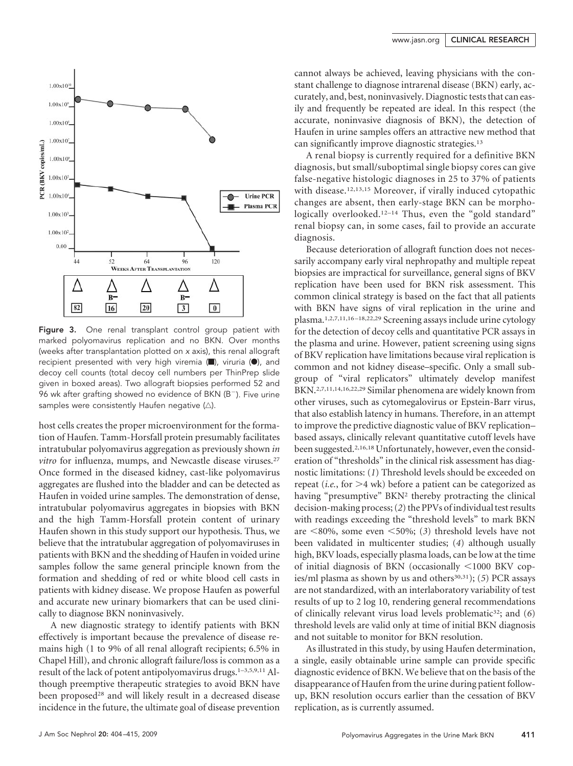

Figure 3. One renal transplant control group patient with marked polyomavirus replication and no BKN. Over months (weeks after transplantation plotted on *x* axis), this renal allograft recipient presented with very high viremia  $\Box$ ), viruria  $\Diamond$ ), and decoy cell counts (total decoy cell numbers per ThinPrep slide given in boxed areas). Two allograft biopsies performed 52 and 96 wk after grafting showed no evidence of BKN ( $B^-$ ). Five urine samples were consistently Haufen negative  $(\triangle)$ .

host cells creates the proper microenvironment for the formation of Haufen. Tamm-Horsfall protein presumably facilitates intratubular polyomavirus aggregation as previously shown *in vitro* for influenza, mumps, and Newcastle disease viruses.<sup>27</sup> Once formed in the diseased kidney, cast-like polyomavirus aggregates are flushed into the bladder and can be detected as Haufen in voided urine samples. The demonstration of dense, intratubular polyomavirus aggregates in biopsies with BKN and the high Tamm-Horsfall protein content of urinary Haufen shown in this study support our hypothesis. Thus, we believe that the intratubular aggregation of polyomaviruses in patients with BKN and the shedding of Haufen in voided urine samples follow the same general principle known from the formation and shedding of red or white blood cell casts in patients with kidney disease. We propose Haufen as powerful and accurate new urinary biomarkers that can be used clinically to diagnose BKN noninvasively.

A new diagnostic strategy to identify patients with BKN effectively is important because the prevalence of disease remains high (1 to 9% of all renal allograft recipients; 6.5% in Chapel Hill), and chronic allograft failure/loss is common as a result of the lack of potent antipolyomavirus drugs.<sup>1-3,5,9,11</sup> Although preemptive therapeutic strategies to avoid BKN have been proposed<sup>28</sup> and will likely result in a decreased disease incidence in the future, the ultimate goal of disease prevention cannot always be achieved, leaving physicians with the constant challenge to diagnose intrarenal disease (BKN) early, accurately, and, best, noninvasively. Diagnostic tests that can easily and frequently be repeated are ideal. In this respect (the accurate, noninvasive diagnosis of BKN), the detection of Haufen in urine samples offers an attractive new method that can significantly improve diagnostic strategies.13

A renal biopsy is currently required for a definitive BKN diagnosis, but small/suboptimal single biopsy cores can give false-negative histologic diagnoses in 25 to 37% of patients with disease.<sup>12,13,15</sup> Moreover, if virally induced cytopathic changes are absent, then early-stage BKN can be morphologically overlooked.<sup>12-14</sup> Thus, even the "gold standard" renal biopsy can, in some cases, fail to provide an accurate diagnosis.

Because deterioration of allograft function does not necessarily accompany early viral nephropathy and multiple repeat biopsies are impractical for surveillance, general signs of BKV replication have been used for BKN risk assessment. This common clinical strategy is based on the fact that all patients with BKN have signs of viral replication in the urine and plasma.1,2,7,11,16 –18,22,29 Screening assays include urine cytology for the detection of decoy cells and quantitative PCR assays in the plasma and urine. However, patient screening using signs of BKV replication have limitations because viral replication is common and not kidney disease–specific. Only a small subgroup of "viral replicators" ultimately develop manifest BKN.2,7,11,14,16,22,29 Similar phenomena are widely known from other viruses, such as cytomegalovirus or Epstein-Barr virus, that also establish latency in humans. Therefore, in an attempt to improve the predictive diagnostic value of BKV replication– based assays, clinically relevant quantitative cutoff levels have been suggested.<sup>2,16,18</sup> Unfortunately, however, even the consideration of "thresholds" in the clinical risk assessment has diagnostic limitations: (*1*) Threshold levels should be exceeded on repeat (*i.e.*, for  $>4$  wk) before a patient can be categorized as having "presumptive" BKN<sup>2</sup> thereby protracting the clinical decision-making process; (*2*) the PPVs of individual test results with readings exceeding the "threshold levels" to mark BKN are  $\leq 80\%$ , some even  $\leq 50\%$ ; (3) threshold levels have not been validated in multicenter studies; (*4*) although usually high, BKV loads, especially plasma loads, can be low at the time of initial diagnosis of BKN (occasionally  $\leq 1000$  BKV copies/ml plasma as shown by us and others<sup>30,31</sup>); (5) PCR assays are not standardized, with an interlaboratory variability of test results of up to 2 log 10, rendering general recommendations of clinically relevant virus load levels problematic32; and (*6*) threshold levels are valid only at time of initial BKN diagnosis and not suitable to monitor for BKN resolution.

As illustrated in this study, by using Haufen determination, a single, easily obtainable urine sample can provide specific diagnostic evidence of BKN. We believe that on the basis of the disappearance of Haufen from the urine during patient followup, BKN resolution occurs earlier than the cessation of BKV replication, as is currently assumed.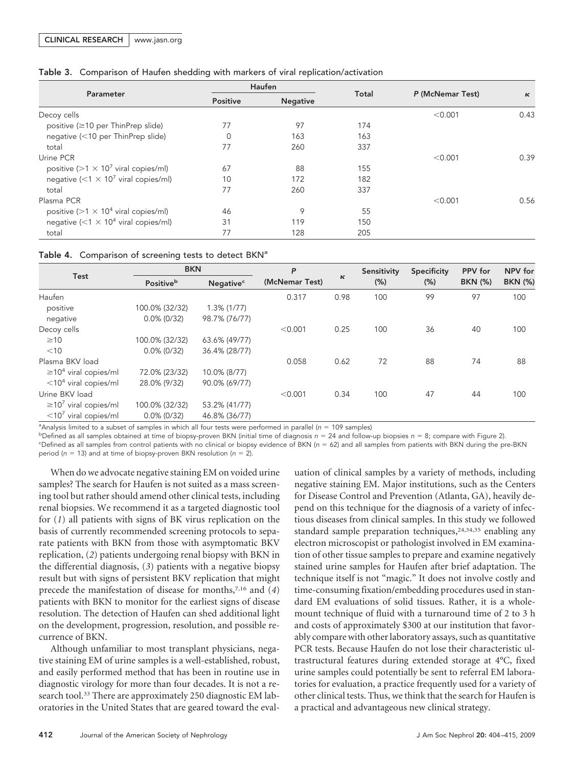|  | Table 3. Comparison of Haufen shedding with markers of viral replication/activation |  |  |  |  |  |  |
|--|-------------------------------------------------------------------------------------|--|--|--|--|--|--|
|--|-------------------------------------------------------------------------------------|--|--|--|--|--|--|

|                                                        |                                    | Haufen |       |                  |          |  |
|--------------------------------------------------------|------------------------------------|--------|-------|------------------|----------|--|
| Parameter                                              | <b>Positive</b><br><b>Negative</b> |        | Total | P (McNemar Test) | $\kappa$ |  |
| Decoy cells                                            |                                    |        |       | < 0.001          | 0.43     |  |
| positive (≥10 per ThinPrep slide)                      | 77                                 | 97     | 174   |                  |          |  |
| negative (<10 per ThinPrep slide)                      | $\mathbf 0$                        | 163    | 163   |                  |          |  |
| total                                                  | 77                                 | 260    | 337   |                  |          |  |
| Urine PCR                                              |                                    |        |       | < 0.001          | 0.39     |  |
| positive ( $>1 \times 10^7$ viral copies/ml)           | 67                                 | 88     | 155   |                  |          |  |
| negative ( $\leq 1 \times 10^7$ viral copies/ml)       | 10                                 | 172    | 182   |                  |          |  |
| total                                                  | 77                                 | 260    | 337   |                  |          |  |
| Plasma PCR                                             |                                    |        |       | < 0.001          | 0.56     |  |
| positive ( $>1 \times 10^4$ viral copies/ml)           | 46                                 | 9      | 55    |                  |          |  |
| negative (<1 $\times$ 10 <sup>4</sup> viral copies/ml) | 31                                 | 119    | 150   |                  |          |  |
| total                                                  | 77                                 | 128    | 205   |                  |          |  |

| Table 4. Comparison of screening tests to detect BKN <sup>a</sup> |  |  |
|-------------------------------------------------------------------|--|--|
|                                                                   |  |  |

|                                        | <b>BKN</b>            |                             | P              |      | Sensitivity | <b>Specificity</b> | <b>PPV</b> for | NPV for        |
|----------------------------------------|-----------------------|-----------------------------|----------------|------|-------------|--------------------|----------------|----------------|
| Test                                   | Positive <sup>b</sup> | <b>Negative<sup>c</sup></b> | (McNemar Test) | К    | $(\%)$      | (% )               | <b>BKN</b> (%) | <b>BKN (%)</b> |
| Haufen                                 |                       |                             | 0.317          | 0.98 | 100         | 99                 | 97             | 100            |
| positive                               | 100.0% (32/32)        | $1.3\%$ (1/77)              |                |      |             |                    |                |                |
| negative                               | $0.0\%$ (0/32)        | 98.7% (76/77)               |                |      |             |                    |                |                |
| Decoy cells                            |                       |                             | < 0.001        | 0.25 | 100         | 36                 | 40             | 100            |
| $\geq 10$                              | 100.0% (32/32)        | 63.6% (49/77)               |                |      |             |                    |                |                |
| $<$ 10                                 | $0.0\%$ (0/32)        | 36.4% (28/77)               |                |      |             |                    |                |                |
| Plasma BKV load                        |                       |                             | 0.058          | 0.62 | 72          | 88                 | 74             | 88             |
| $\geq$ 10 <sup>4</sup> viral copies/ml | 72.0% (23/32)         | 10.0% (8/77)                |                |      |             |                    |                |                |
| $<$ 10 <sup>4</sup> viral copies/ml    | 28.0% (9/32)          | 90.0% (69/77)               |                |      |             |                    |                |                |
| Urine BKV load                         |                       |                             | < 0.001        | 0.34 | 100         | 47                 | 44             | 100            |
| $\geq$ 10 <sup>7</sup> viral copies/ml | 100.0% (32/32)        | 53.2% (41/77)               |                |      |             |                    |                |                |
| $<$ 10 <sup>7</sup> viral copies/ml    | $0.0\%$ (0/32)        | 46.8% (36/77)               |                |      |             |                    |                |                |

<sup>a</sup> Analysis limited to a subset of samples in which all four tests were performed in parallel (*n* = 109 samples)

b Defined as all samples obtained at time of biopsy-proven BKN (initial time of diagnosis *n* - 24 and follow-up biopsies *n* - 8; compare with Figure 2).

"Defined as all samples from control patients with no clinical or biopsy evidence of BKN (*n* = 62) and all samples from patients with BKN during the pre-BKN period (n = 13) and at time of biopsy-proven BKN resolution (n = 2).

When do we advocate negative staining EM on voided urine samples? The search for Haufen is not suited as a mass screening tool but rather should amend other clinical tests, including renal biopsies. We recommend it as a targeted diagnostic tool for (*1*) all patients with signs of BK virus replication on the basis of currently recommended screening protocols to separate patients with BKN from those with asymptomatic BKV replication, (*2*) patients undergoing renal biopsy with BKN in the differential diagnosis, (*3*) patients with a negative biopsy result but with signs of persistent BKV replication that might precede the manifestation of disease for months,7,16 and (*4*) patients with BKN to monitor for the earliest signs of disease resolution. The detection of Haufen can shed additional light on the development, progression, resolution, and possible recurrence of BKN.

Although unfamiliar to most transplant physicians, negative staining EM of urine samples is a well-established, robust, and easily performed method that has been in routine use in diagnostic virology for more than four decades. It is not a research tool.<sup>33</sup> There are approximately 250 diagnostic EM laboratories in the United States that are geared toward the evaluation of clinical samples by a variety of methods, including negative staining EM. Major institutions, such as the Centers for Disease Control and Prevention (Atlanta, GA), heavily depend on this technique for the diagnosis of a variety of infectious diseases from clinical samples. In this study we followed standard sample preparation techniques,  $24,34,35$  enabling any electron microscopist or pathologist involved in EM examination of other tissue samples to prepare and examine negatively stained urine samples for Haufen after brief adaptation. The technique itself is not "magic." It does not involve costly and time-consuming fixation/embedding procedures used in standard EM evaluations of solid tissues. Rather, it is a wholemount technique of fluid with a turnaround time of 2 to 3 h and costs of approximately \$300 at our institution that favorably compare with other laboratory assays, such as quantitative PCR tests. Because Haufen do not lose their characteristic ultrastructural features during extended storage at 4°C, fixed urine samples could potentially be sent to referral EM laboratories for evaluation, a practice frequently used for a variety of other clinical tests. Thus, we think that the search for Haufen is a practical and advantageous new clinical strategy.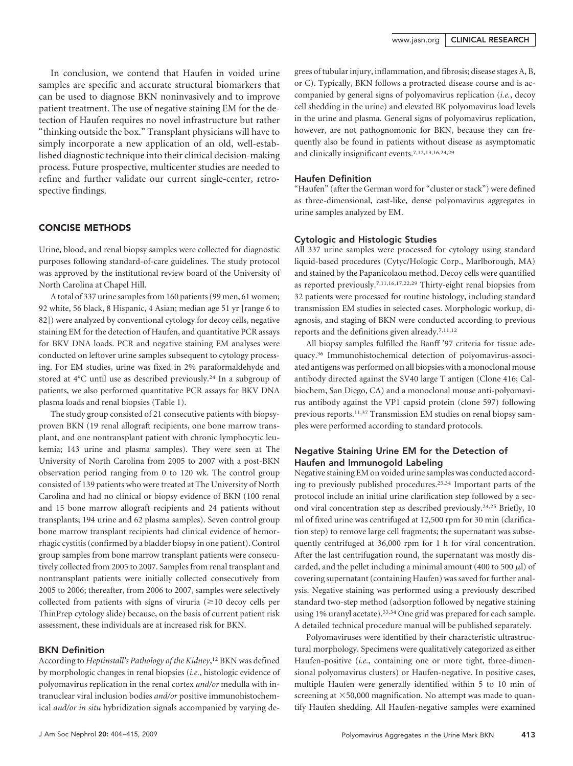In conclusion, we contend that Haufen in voided urine samples are specific and accurate structural biomarkers that can be used to diagnose BKN noninvasively and to improve patient treatment. The use of negative staining EM for the detection of Haufen requires no novel infrastructure but rather "thinking outside the box." Transplant physicians will have to simply incorporate a new application of an old, well-established diagnostic technique into their clinical decision-making process. Future prospective, multicenter studies are needed to refine and further validate our current single-center, retrospective findings.

# CONCISE METHODS

Urine, blood, and renal biopsy samples were collected for diagnostic purposes following standard-of-care guidelines. The study protocol was approved by the institutional review board of the University of North Carolina at Chapel Hill.

A total of 337 urine samples from 160 patients (99 men, 61 women; 92 white, 56 black, 8 Hispanic, 4 Asian; median age 51 yr [range 6 to 82]) were analyzed by conventional cytology for decoy cells, negative staining EM for the detection of Haufen, and quantitative PCR assays for BKV DNA loads. PCR and negative staining EM analyses were conducted on leftover urine samples subsequent to cytology processing. For EM studies, urine was fixed in 2% paraformaldehyde and stored at 4°C until use as described previously.24 In a subgroup of patients, we also performed quantitative PCR assays for BKV DNA plasma loads and renal biopsies (Table 1).

The study group consisted of 21 consecutive patients with biopsyproven BKN (19 renal allograft recipients, one bone marrow transplant, and one nontransplant patient with chronic lymphocytic leukemia; 143 urine and plasma samples). They were seen at The University of North Carolina from 2005 to 2007 with a post-BKN observation period ranging from 0 to 120 wk. The control group consisted of 139 patients who were treated at The University of North Carolina and had no clinical or biopsy evidence of BKN (100 renal and 15 bone marrow allograft recipients and 24 patients without transplants; 194 urine and 62 plasma samples). Seven control group bone marrow transplant recipients had clinical evidence of hemorrhagic cystitis (confirmed by a bladder biopsy in one patient). Control group samples from bone marrow transplant patients were consecutively collected from 2005 to 2007. Samples from renal transplant and nontransplant patients were initially collected consecutively from 2005 to 2006; thereafter, from 2006 to 2007, samples were selectively collected from patients with signs of viruria  $(\geq 10$  decoy cells per ThinPrep cytology slide) because, on the basis of current patient risk assessment, these individuals are at increased risk for BKN.

#### BKN Definition

According to *Heptinstall's Pathology of the Kidney*, <sup>12</sup> BKN was defined by morphologic changes in renal biopsies (*i.e.*, histologic evidence of polyomavirus replication in the renal cortex *and/or* medulla with intranuclear viral inclusion bodies *and/or* positive immunohistochemical *and/or in situ* hybridization signals accompanied by varying degrees of tubular injury, inflammation, and fibrosis; disease stages A, B, or C). Typically, BKN follows a protracted disease course and is accompanied by general signs of polyomavirus replication (*i.e.*, decoy cell shedding in the urine) and elevated BK polyomavirus load levels in the urine and plasma. General signs of polyomavirus replication, however, are not pathognomonic for BKN, because they can frequently also be found in patients without disease as asymptomatic and clinically insignificant events.7,12,13,16,24,29

#### Haufen Definition

"Haufen" (after the German word for "cluster or stack") were defined as three-dimensional, cast-like, dense polyomavirus aggregates in urine samples analyzed by EM.

#### Cytologic and Histologic Studies

All 337 urine samples were processed for cytology using standard liquid-based procedures (Cytyc/Hologic Corp., Marlborough, MA) and stained by the Papanicolaou method. Decoy cells were quantified as reported previously.7,11,16,17,22,29 Thirty-eight renal biopsies from 32 patients were processed for routine histology, including standard transmission EM studies in selected cases. Morphologic workup, diagnosis, and staging of BKN were conducted according to previous reports and the definitions given already.7,11,12

All biopsy samples fulfilled the Banff '97 criteria for tissue adequacy.36 Immunohistochemical detection of polyomavirus-associated antigens was performed on all biopsies with a monoclonal mouse antibody directed against the SV40 large T antigen (Clone 416; Calbiochem, San Diego, CA) and a monoclonal mouse anti-polyomavirus antibody against the VP1 capsid protein (clone 597) following previous reports.11,37 Transmission EM studies on renal biopsy samples were performed according to standard protocols.

# Negative Staining Urine EM for the Detection of Haufen and Immunogold Labeling

Negative staining EM on voided urine samples was conducted according to previously published procedures.25,34 Important parts of the protocol include an initial urine clarification step followed by a second viral concentration step as described previously.24,25 Briefly, 10 ml of fixed urine was centrifuged at 12,500 rpm for 30 min (clarification step) to remove large cell fragments; the supernatant was subsequently centrifuged at 36,000 rpm for 1 h for viral concentration. After the last centrifugation round, the supernatant was mostly discarded, and the pellet including a minimal amount (400 to 500  $\mu$ ) of covering supernatant (containing Haufen) was saved for further analysis. Negative staining was performed using a previously described standard two-step method (adsorption followed by negative staining using 1% uranyl acetate).<sup>33,34</sup> One grid was prepared for each sample. A detailed technical procedure manual will be published separately.

Polyomaviruses were identified by their characteristic ultrastructural morphology. Specimens were qualitatively categorized as either Haufen-positive (*i.e.*, containing one or more tight, three-dimensional polyomavirus clusters) or Haufen-negative. In positive cases, multiple Haufen were generally identified within 5 to 10 min of screening at  $\times$  50,000 magnification. No attempt was made to quantify Haufen shedding. All Haufen-negative samples were examined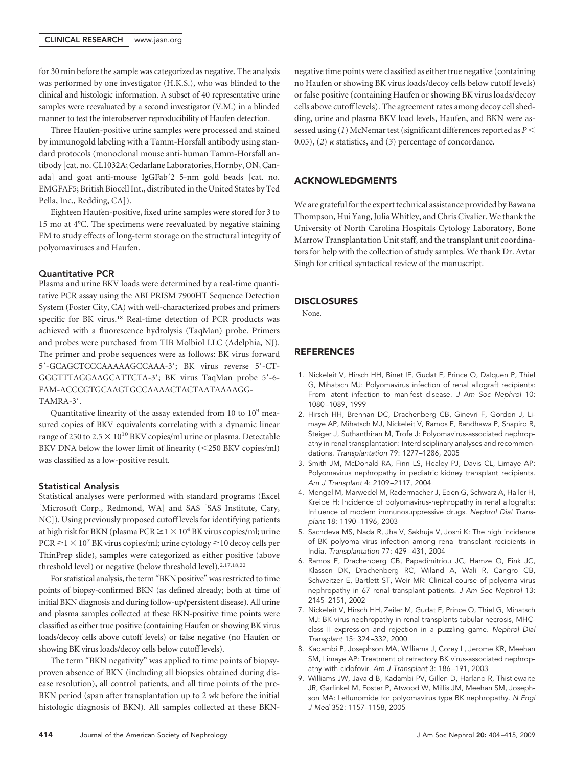for 30 min before the sample was categorized as negative. The analysis was performed by one investigator (H.K.S.), who was blinded to the clinical and histologic information. A subset of 40 representative urine samples were reevaluated by a second investigator (V.M.) in a blinded manner to test the interobserver reproducibility of Haufen detection.

Three Haufen-positive urine samples were processed and stained by immunogold labeling with a Tamm-Horsfall antibody using standard protocols (monoclonal mouse anti-human Tamm-Horsfall antibody [cat. no. CL1032A; Cedarlane Laboratories, Hornby, ON, Canada] and goat anti-mouse IgGFab'2 5-nm gold beads [cat. no. EMGFAF5; British Biocell Int., distributed in the United States by Ted Pella, Inc., Redding, CA]).

Eighteen Haufen-positive, fixed urine samples were stored for 3 to 15 mo at 4°C. The specimens were reevaluated by negative staining EM to study effects of long-term storage on the structural integrity of polyomaviruses and Haufen.

#### Quantitative PCR

Plasma and urine BKV loads were determined by a real-time quantitative PCR assay using the ABI PRISM 7900HT Sequence Detection System (Foster City, CA) with well-characterized probes and primers specific for BK virus.18 Real-time detection of PCR products was achieved with a fluorescence hydrolysis (TaqMan) probe. Primers and probes were purchased from TIB Molbiol LLC (Adelphia, NJ). The primer and probe sequences were as follows: BK virus forward 5-GCAGCTCCCAAAAAGCCAAA-3; BK virus reverse 5-CT-GGGTTTAGGAAGCATTCTA-3; BK virus TaqMan probe 5-6- FAM-ACCCGTGCAAGTGCCAAAACTACTAATAAAAGG-TAMRA-3'.

Quantitative linearity of the assay extended from 10 to 109 measured copies of BKV equivalents correlating with a dynamic linear range of 250 to 2.5  $\times$  10<sup>10</sup> BKV copies/ml urine or plasma. Detectable BKV DNA below the lower limit of linearity (250 BKV copies/ml) was classified as a low-positive result.

## Statistical Analysis

Statistical analyses were performed with standard programs (Excel [Microsoft Corp., Redmond, WA] and SAS [SAS Institute, Cary, NC]). Using previously proposed cutoff levels for identifying patients at high risk for BKN (plasma PCR  $\geq$  1  $\times$  10<sup>4</sup> BK virus copies/ml; urine  $PCR \ge 1 \times 10^7$  BK virus copies/ml; urine cytology  $\ge 10$  decoy cells per ThinPrep slide), samples were categorized as either positive (above threshold level) or negative (below threshold level).2,17,18,22

For statistical analysis, the term "BKN positive" was restricted to time points of biopsy-confirmed BKN (as defined already; both at time of initial BKN diagnosis and during follow-up/persistent disease). All urine and plasma samples collected at these BKN-positive time points were classified as either true positive (containing Haufen or showing BK virus loads/decoy cells above cutoff levels) or false negative (no Haufen or showing BK virus loads/decoy cells below cutoff levels).

The term "BKN negativity" was applied to time points of biopsyproven absence of BKN (including all biopsies obtained during disease resolution), all control patients, and all time points of the pre-BKN period (span after transplantation up to 2 wk before the initial histologic diagnosis of BKN). All samples collected at these BKN- negative time points were classified as either true negative (containing no Haufen or showing BK virus loads/decoy cells below cutoff levels) or false positive (containing Haufen or showing BK virus loads/decoy cells above cutoff levels). The agreement rates among decoy cell shedding, urine and plasma BKV load levels, Haufen, and BKN were assessed using (*1*) McNemar test (significant differences reported as *P* 0.05), (2)  $\kappa$  statistics, and (3) percentage of concordance.

## ACKNOWLEDGMENTS

We are grateful for the expert technical assistance provided by Bawana Thompson, Hui Yang, Julia Whitley, and Chris Civalier. We thank the University of North Carolina Hospitals Cytology Laboratory, Bone Marrow Transplantation Unit staff, and the transplant unit coordinators for help with the collection of study samples. We thank Dr. Avtar Singh for critical syntactical review of the manuscript.

#### **DISCLOSURES**

None.

# REFERENCES

- 1. Nickeleit V, Hirsch HH, Binet IF, Gudat F, Prince O, Dalquen P, Thiel G, Mihatsch MJ: Polyomavirus infection of renal allograft recipients: From latent infection to manifest disease. *J Am Soc Nephrol* 10: 1080 –1089, 1999
- 2. Hirsch HH, Brennan DC, Drachenberg CB, Ginevri F, Gordon J, Limaye AP, Mihatsch MJ, Nickeleit V, Ramos E, Randhawa P, Shapiro R, Steiger J, Suthanthiran M, Trofe J: Polyomavirus-associated nephropathy in renal transplantation: Interdisciplinary analyses and recommendations. *Transplantation* 79: 1277–1286, 2005
- 3. Smith JM, McDonald RA, Finn LS, Healey PJ, Davis CL, Limaye AP: Polyomavirus nephropathy in pediatric kidney transplant recipients. *Am J Transplant* 4: 2109 –2117, 2004
- 4. Mengel M, Marwedel M, Radermacher J, Eden G, Schwarz A, Haller H, Kreipe H: Incidence of polyomavirus-nephropathy in renal allografts: Influence of modern immunosuppressive drugs. *Nephrol Dial Transplant* 18: 1190 –1196, 2003
- 5. Sachdeva MS, Nada R, Jha V, Sakhuja V, Joshi K: The high incidence of BK polyoma virus infection among renal transplant recipients in India. *Transplantation* 77: 429 – 431, 2004
- 6. Ramos E, Drachenberg CB, Papadimitriou JC, Hamze O, Fink JC, Klassen DK, Drachenberg RC, Wiland A, Wali R, Cangro CB, Schweitzer E, Bartlett ST, Weir MR: Clinical course of polyoma virus nephropathy in 67 renal transplant patients. *J Am Soc Nephrol* 13: 2145–2151, 2002
- 7. Nickeleit V, Hirsch HH, Zeiler M, Gudat F, Prince O, Thiel G, Mihatsch MJ: BK-virus nephropathy in renal transplants-tubular necrosis, MHCclass II expression and rejection in a puzzling game*. Nephrol Dial Transplant* 15: 324 –332, 2000
- 8. Kadambi P, Josephson MA, Williams J, Corey L, Jerome KR, Meehan SM, Limaye AP: Treatment of refractory BK virus-associated nephropathy with cidofovir. *Am J Transplant* 3: 186 –191, 2003
- 9. Williams JW, Javaid B, Kadambi PV, Gillen D, Harland R, Thistlewaite JR, Garfinkel M, Foster P, Atwood W, Millis JM, Meehan SM, Josephson MA: Leflunomide for polyomavirus type BK nephropathy. *N Engl J Med* 352: 1157–1158, 2005